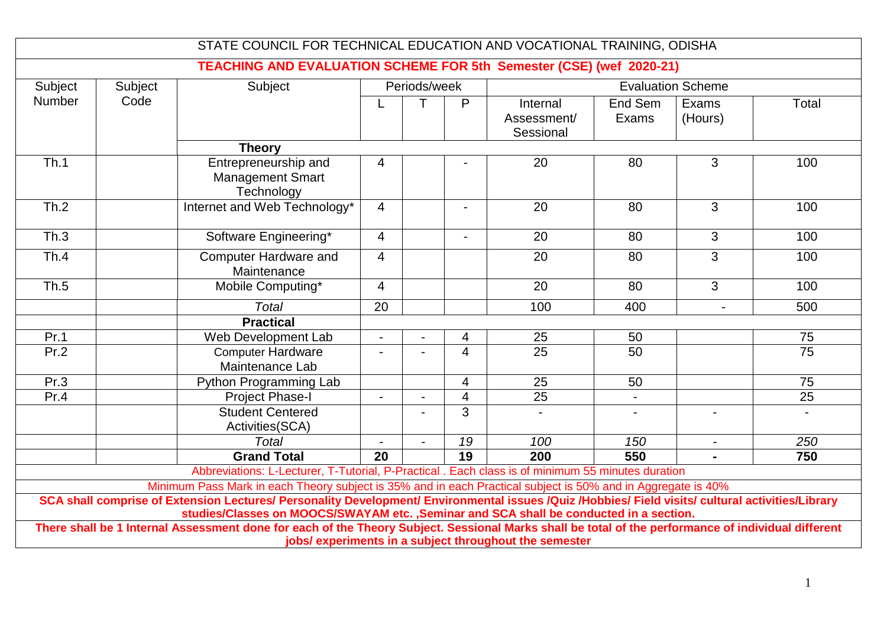|                                                       |         | STATE COUNCIL FOR TECHNICAL EDUCATION AND VOCATIONAL TRAINING, ODISHA                                                                                                                                                                                                                                                                                                                                                                                                                                              |                                          |  |                |                                      |                  |                  |                 |
|-------------------------------------------------------|---------|--------------------------------------------------------------------------------------------------------------------------------------------------------------------------------------------------------------------------------------------------------------------------------------------------------------------------------------------------------------------------------------------------------------------------------------------------------------------------------------------------------------------|------------------------------------------|--|----------------|--------------------------------------|------------------|------------------|-----------------|
|                                                       |         | <b>TEACHING AND EVALUATION SCHEME FOR 5th Semester (CSE) (wef 2020-21)</b>                                                                                                                                                                                                                                                                                                                                                                                                                                         |                                          |  |                |                                      |                  |                  |                 |
| Subject                                               | Subject | Subject                                                                                                                                                                                                                                                                                                                                                                                                                                                                                                            | Periods/week<br><b>Evaluation Scheme</b> |  |                |                                      |                  |                  |                 |
| <b>Number</b>                                         | Code    |                                                                                                                                                                                                                                                                                                                                                                                                                                                                                                                    |                                          |  | P              | Internal<br>Assessment/<br>Sessional | End Sem<br>Exams | Exams<br>(Hours) | <b>Total</b>    |
|                                                       |         | <b>Theory</b>                                                                                                                                                                                                                                                                                                                                                                                                                                                                                                      |                                          |  |                |                                      |                  |                  |                 |
| Th.1                                                  |         | Entrepreneurship and<br><b>Management Smart</b><br>Technology                                                                                                                                                                                                                                                                                                                                                                                                                                                      | 4                                        |  |                | 20                                   | 80               | 3                | 100             |
| Th.2                                                  |         | Internet and Web Technology*                                                                                                                                                                                                                                                                                                                                                                                                                                                                                       | $\overline{4}$                           |  |                | 20                                   | 80               | 3                | 100             |
| Th.3                                                  |         | Software Engineering*                                                                                                                                                                                                                                                                                                                                                                                                                                                                                              | $\overline{4}$                           |  |                | 20                                   | 80               | $\overline{3}$   | 100             |
| Th.4                                                  |         | <b>Computer Hardware and</b><br>Maintenance                                                                                                                                                                                                                                                                                                                                                                                                                                                                        | $\overline{4}$                           |  |                | 20                                   | 80               | 3                | 100             |
| Th.5                                                  |         | Mobile Computing*                                                                                                                                                                                                                                                                                                                                                                                                                                                                                                  | $\overline{4}$                           |  |                | 20                                   | 80               | $\mathbf{3}$     | 100             |
|                                                       |         | <b>Total</b><br><b>Practical</b>                                                                                                                                                                                                                                                                                                                                                                                                                                                                                   | 20                                       |  |                | 100                                  | 400              | $\overline{a}$   | 500             |
| Pr.1                                                  |         | Web Development Lab                                                                                                                                                                                                                                                                                                                                                                                                                                                                                                | $\overline{a}$                           |  | 4              | 25                                   | 50               |                  | 75              |
| Pr.2                                                  |         | <b>Computer Hardware</b><br>Maintenance Lab                                                                                                                                                                                                                                                                                                                                                                                                                                                                        |                                          |  | $\overline{4}$ | $\overline{25}$                      | $\overline{50}$  |                  | $\overline{75}$ |
| Pr.3                                                  |         | Python Programming Lab                                                                                                                                                                                                                                                                                                                                                                                                                                                                                             |                                          |  | 4              | 25                                   | 50               |                  | 75              |
| Pr.4                                                  |         | <b>Project Phase-I</b>                                                                                                                                                                                                                                                                                                                                                                                                                                                                                             | $\blacksquare$                           |  | $\overline{4}$ | 25                                   |                  |                  | 25              |
|                                                       |         | <b>Student Centered</b><br>Activities(SCA)                                                                                                                                                                                                                                                                                                                                                                                                                                                                         |                                          |  | 3              |                                      |                  |                  |                 |
|                                                       |         | <b>Total</b>                                                                                                                                                                                                                                                                                                                                                                                                                                                                                                       |                                          |  | 19             | 100                                  | 150              |                  | 250             |
|                                                       |         | <b>Grand Total</b>                                                                                                                                                                                                                                                                                                                                                                                                                                                                                                 | 20                                       |  | 19             | 200                                  | 550              |                  | 750             |
|                                                       |         | Abbreviations: L-Lecturer, T-Tutorial, P-Practical . Each class is of minimum 55 minutes duration                                                                                                                                                                                                                                                                                                                                                                                                                  |                                          |  |                |                                      |                  |                  |                 |
|                                                       |         | Minimum Pass Mark in each Theory subject is 35% and in each Practical subject is 50% and in Aggregate is 40%<br>SCA shall comprise of Extension Lectures/ Personality Development/ Environmental issues /Quiz /Hobbies/ Field visits/ cultural activities/Library<br>studies/Classes on MOOCS/SWAYAM etc., Seminar and SCA shall be conducted in a section.<br>There shall be 1 Internal Assessment done for each of the Theory Subject. Sessional Marks shall be total of the performance of individual different |                                          |  |                |                                      |                  |                  |                 |
| jobs/experiments in a subject throughout the semester |         |                                                                                                                                                                                                                                                                                                                                                                                                                                                                                                                    |                                          |  |                |                                      |                  |                  |                 |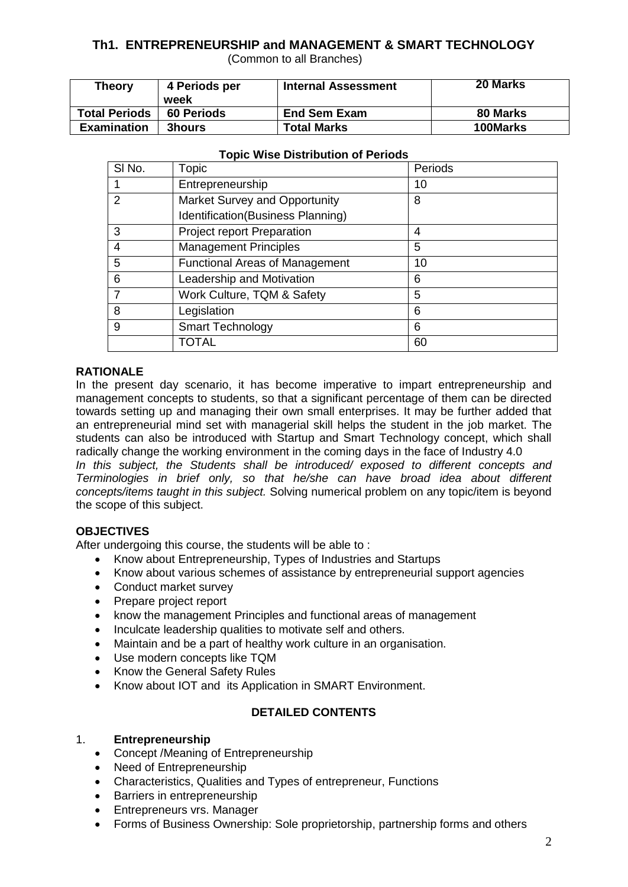# **Th1. ENTREPRENEURSHIP and MANAGEMENT & SMART TECHNOLOGY**

(Common to all Branches)

| <b>Theory</b>        | 4 Periods per<br>week | <b>Internal Assessment</b> | 20 Marks |
|----------------------|-----------------------|----------------------------|----------|
| <b>Total Periods</b> | 60 Periods            | <b>End Sem Exam</b>        | 80 Marks |
| <b>Examination</b>   | <b>3hours</b>         | <b>Total Marks</b>         | 100Marks |

| SI No. | Topic                                 | Periods |
|--------|---------------------------------------|---------|
|        | Entrepreneurship                      | 10      |
| 2      | Market Survey and Opportunity         | 8       |
|        | Identification(Business Planning)     |         |
| 3      | Project report Preparation            | 4       |
| 4      | <b>Management Principles</b>          | 5       |
| 5      | <b>Functional Areas of Management</b> | 10      |
| 6      | Leadership and Motivation             | 6       |
| 7      | Work Culture, TQM & Safety            | 5       |
| 8      | Legislation                           | 6       |
| 9      | <b>Smart Technology</b>               | 6       |
|        | TOTAL                                 | 60      |

#### **Topic Wise Distribution of Periods**

#### **RATIONALE**

In the present day scenario, it has become imperative to impart entrepreneurship and management concepts to students, so that a significant percentage of them can be directed towards setting up and managing their own small enterprises. It may be further added that an entrepreneurial mind set with managerial skill helps the student in the job market. The students can also be introduced with Startup and Smart Technology concept, which shall radically change the working environment in the coming days in the face of Industry 4.0

*In this subject, the Students shall be introduced/ exposed to different concepts and Terminologies in brief only, so that he/she can have broad idea about different concepts/items taught in this subject.* Solving numerical problem on any topic/item is beyond the scope of this subject.

#### **OBJECTIVES**

After undergoing this course, the students will be able to :

- Know about Entrepreneurship, Types of Industries and Startups
- Know about various schemes of assistance by entrepreneurial support agencies
- Conduct market survey
- Prepare project report
- know the management Principles and functional areas of management
- Inculcate leadership qualities to motivate self and others.
- Maintain and be a part of healthy work culture in an organisation.
- Use modern concepts like TQM
- Know the General Safety Rules
- Know about IOT and its Application in SMART Environment.

#### **DETAILED CONTENTS**

#### 1. **Entrepreneurship**

- Concept / Meaning of Entrepreneurship
- Need of Entrepreneurship
- Characteristics, Qualities and Types of entrepreneur, Functions
- Barriers in entrepreneurship
- Entrepreneurs vrs. Manager
- Forms of Business Ownership: Sole proprietorship, partnership forms and others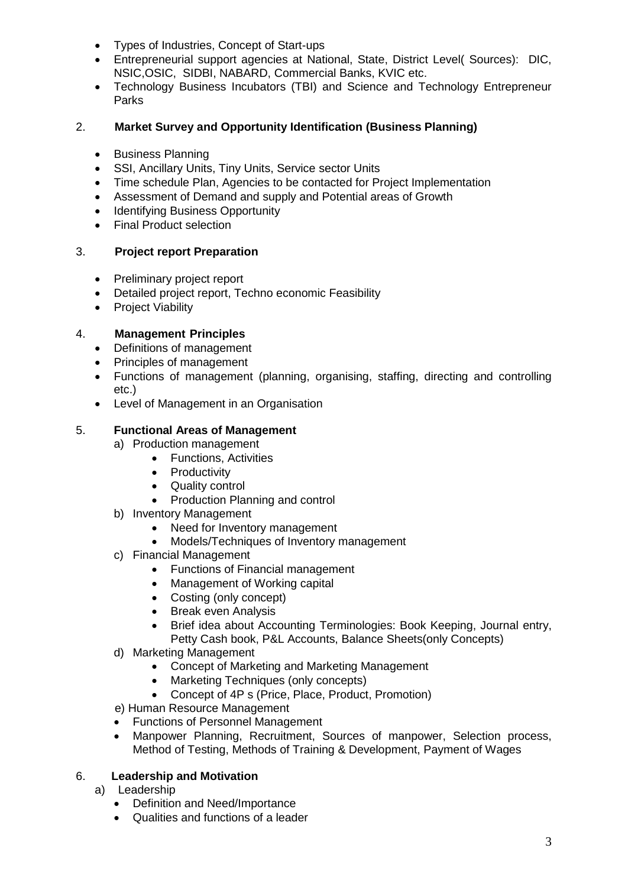- Types of Industries, Concept of Start-ups
- Entrepreneurial support agencies at National, State, District Level( Sources): DIC, NSIC,OSIC, SIDBI, NABARD, Commercial Banks, KVIC etc.
- Technology Business Incubators (TBI) and Science and Technology Entrepreneur Parks

#### 2. **Market Survey and Opportunity Identification (Business Planning)**

- Business Planning
- SSI, Ancillary Units, Tiny Units, Service sector Units
- Time schedule Plan, Agencies to be contacted for Project Implementation
- Assessment of Demand and supply and Potential areas of Growth
- Identifying Business Opportunity
- Final Product selection

### 3. **Project report Preparation**

- Preliminary project report
- Detailed project report, Techno economic Feasibility
- Project Viability

#### 4. **Management Principles**

- Definitions of management
- Principles of management
- Functions of management (planning, organising, staffing, directing and controlling etc.)
- Level of Management in an Organisation

#### 5. **Functional Areas of Management**

- a) Production management
	- Functions, Activities
		- Productivity
		- Quality control
	- Production Planning and control
- b) Inventory Management
	- Need for Inventory management
	- Models/Techniques of Inventory management
- c) Financial Management
	- Functions of Financial management
	- Management of Working capital
	- Costing (only concept)
	- Break even Analysis
	- Brief idea about Accounting Terminologies: Book Keeping, Journal entry, Petty Cash book, P&L Accounts, Balance Sheets(only Concepts)
- d) Marketing Management
	- Concept of Marketing and Marketing Management
	- Marketing Techniques (only concepts)
	- Concept of 4P s (Price, Place, Product, Promotion)
- e) Human Resource Management
- Functions of Personnel Management
- Manpower Planning, Recruitment, Sources of manpower, Selection process, Method of Testing, Methods of Training & Development, Payment of Wages

#### 6. **Leadership and Motivation**

- a) Leadership
	- Definition and Need/Importance
	- Qualities and functions of a leader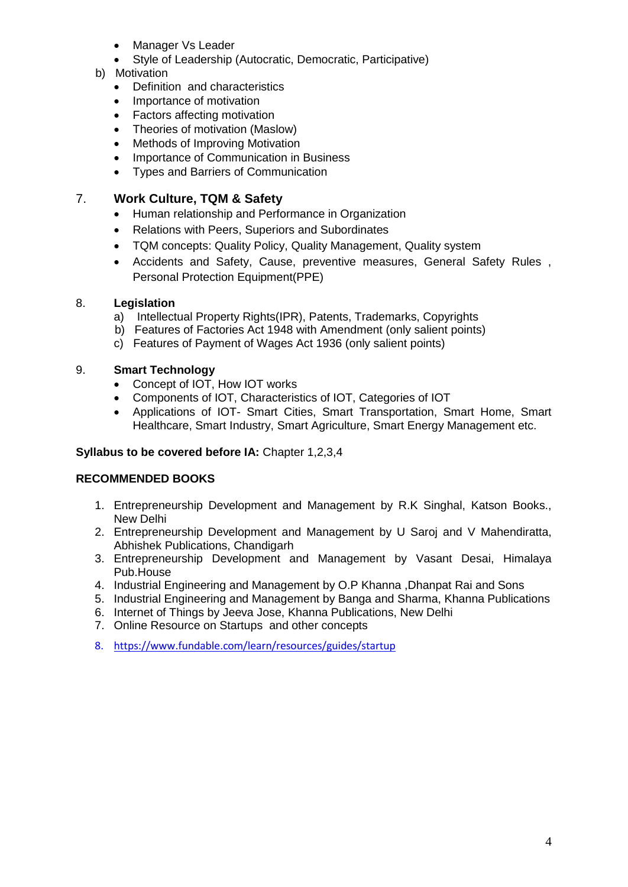- Manager Vs Leader
- Style of Leadership (Autocratic, Democratic, Participative)
- b) Motivation
	- Definition and characteristics
	- Importance of motivation
	- Factors affecting motivation
	- Theories of motivation (Maslow)
	- Methods of Improving Motivation
	- Importance of Communication in Business
	- Types and Barriers of Communication

#### 7. **Work Culture, TQM & Safety**

- Human relationship and Performance in Organization
- Relations with Peers, Superiors and Subordinates
- TQM concepts: Quality Policy, Quality Management, Quality system
- Accidents and Safety, Cause, preventive measures, General Safety Rules , Personal Protection Equipment(PPE)

#### 8. **Legislation**

- a) Intellectual Property Rights(IPR), Patents, Trademarks, Copyrights
- b) Features of Factories Act 1948 with Amendment (only salient points)
- c) Features of Payment of Wages Act 1936 (only salient points)

#### 9. **Smart Technology**

- Concept of IOT, How IOT works
- Components of IOT, Characteristics of IOT, Categories of IOT
- Applications of IOT- Smart Cities, Smart Transportation, Smart Home, Smart Healthcare, Smart Industry, Smart Agriculture, Smart Energy Management etc.

#### **Syllabus to be covered before IA:** Chapter 1,2,3,4

#### **RECOMMENDED BOOKS**

- 1. Entrepreneurship Development and Management by R.K Singhal, Katson Books., New Delhi
- 2. Entrepreneurship Development and Management by U Saroj and V Mahendiratta, Abhishek Publications, Chandigarh
- 3. Entrepreneurship Development and Management by Vasant Desai, Himalaya Pub.House
- 4. Industrial Engineering and Management by O.P Khanna ,Dhanpat Rai and Sons
- 5. Industrial Engineering and Management by Banga and Sharma, Khanna Publications
- 6. Internet of Things by Jeeva Jose, Khanna Publications, New Delhi
- 7. Online Resource on Startups and other concepts
- 8. <https://www.fundable.com/learn/resources/guides/startup>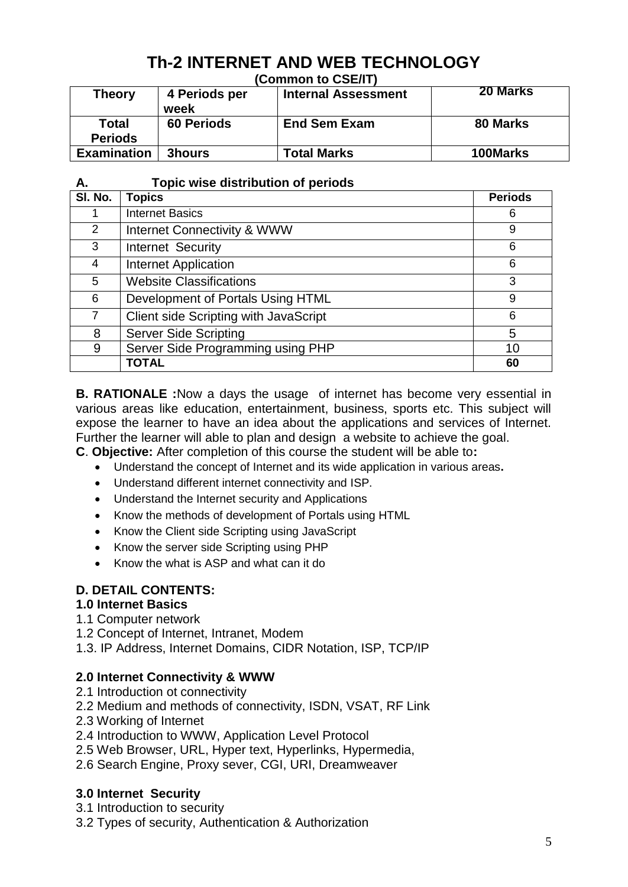# **Th-2 INTERNET AND WEB TECHNOLOGY**

**(Common to CSE/IT)**

| Theory                  | 4 Periods per<br>week | <b>Internal Assessment</b> | <b>20 Marks</b> |  |  |
|-------------------------|-----------------------|----------------------------|-----------------|--|--|
| Total<br><b>Periods</b> | <b>60 Periods</b>     | <b>End Sem Exam</b>        | 80 Marks        |  |  |
| <b>Examination</b>      | 3hours                | <b>Total Marks</b>         | 100Marks        |  |  |

# **A. Topic wise distribution of periods**

| SI. No.        | <b>Topics</b>                          | <b>Periods</b> |
|----------------|----------------------------------------|----------------|
|                | <b>Internet Basics</b>                 | 6              |
| 2              | <b>Internet Connectivity &amp; WWW</b> | 9              |
| 3              | Internet Security                      | 6              |
| 4              | <b>Internet Application</b>            | 6              |
| 5              | <b>Website Classifications</b>         | 3              |
| 6              | Development of Portals Using HTML      | 9              |
| $\overline{7}$ | Client side Scripting with JavaScript  | 6              |
| 8              | <b>Server Side Scripting</b>           | 5              |
| 9              | Server Side Programming using PHP      | 10             |
|                | <b>TOTAL</b>                           | 60             |

**B. RATIONALE :**Now a days the usage of internet has become very essential in various areas like education, entertainment, business, sports etc. This subject will expose the learner to have an idea about the applications and services of Internet. Further the learner will able to plan and design a website to achieve the goal.

**C**. **Objective:** After completion of this course the student will be able to**:**

- Understand the concept of Internet and its wide application in various areas**.**
- Understand different internet connectivity and ISP.
- Understand the Internet security and Applications
- Know the methods of development of Portals using HTML
- Know the Client side Scripting using JavaScript
- Know the server side Scripting using PHP
- Know the what is ASP and what can it do

# **D. DETAIL CONTENTS:**

# **1.0 Internet Basics**

- 1.1 Computer network
- 1.2 Concept of Internet, Intranet, Modem

1.3. IP Address, Internet Domains, CIDR Notation, ISP, TCP/IP

# **2.0 Internet Connectivity & WWW**

- 2.1 Introduction ot connectivity
- 2.2 Medium and methods of connectivity, ISDN, VSAT, RF Link
- 2.3 Working of Internet
- 2.4 Introduction to WWW, Application Level Protocol
- 2.5 Web Browser, URL, Hyper text, Hyperlinks, Hypermedia,
- 2.6 Search Engine, Proxy sever, CGI, URI, Dreamweaver

# **3.0 Internet Security**

3.1 Introduction to security

3.2 Types of security, Authentication & Authorization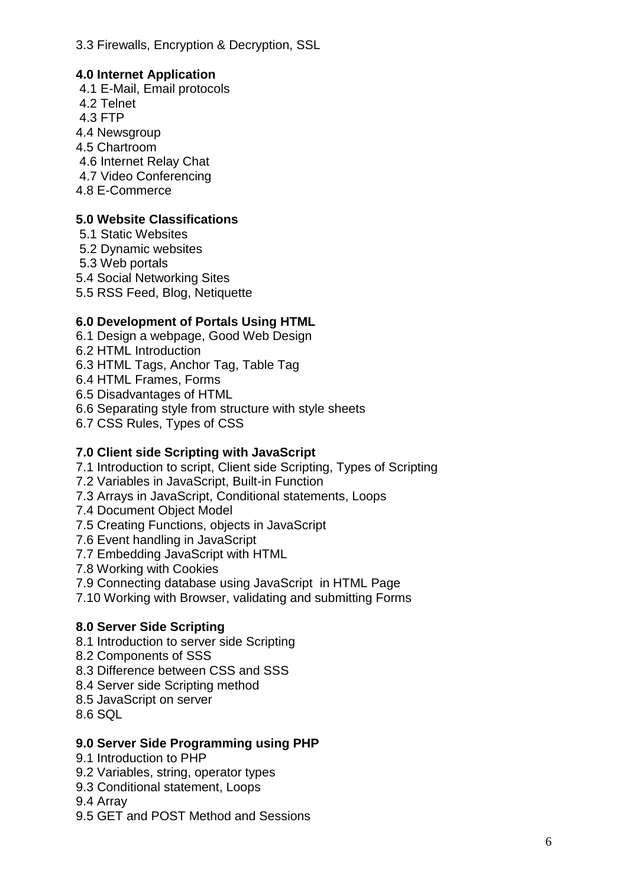3.3 Firewalls, Encryption & Decryption, SSL

# **4.0 Internet Application**

4.1 E-Mail, Email protocols 4.2 Telnet 4.3 FTP 4.4 Newsgroup 4.5 Chartroom 4.6 Internet Relay Chat 4.7 Video Conferencing 4.8 E-Commerce

# **5.0 Website Classifications**

- 5.1 Static Websites 5.2 Dynamic websites
- 5.3 Web portals
- 5.4 Social Networking Sites
- 5.5 RSS Feed, Blog, Netiquette

# **6.0 Development of Portals Using HTML**

- 6.1 Design a webpage, Good Web Design
- 6.2 HTML Introduction
- 6.3 HTML Tags, Anchor Tag, Table Tag
- 6.4 HTML Frames, Forms
- 6.5 Disadvantages of HTML
- 6.6 Separating style from structure with style sheets
- 6.7 CSS Rules, Types of CSS

# **7.0 Client side Scripting with JavaScript**

- 7.1 Introduction to script, Client side Scripting, Types of Scripting
- 7.2 Variables in JavaScript, Built-in Function
- 7.3 Arrays in JavaScript, Conditional statements, Loops
- 7.4 Document Object Model
- 7.5 Creating Functions, objects in JavaScript
- 7.6 Event handling in JavaScript
- 7.7 Embedding JavaScript with HTML
- 7.8 Working with Cookies
- 7.9 Connecting database using JavaScript in HTML Page
- 7.10 Working with Browser, validating and submitting Forms

# **8.0 Server Side Scripting**

- 8.1 Introduction to server side Scripting
- 8.2 Components of SSS
- 8.3 Difference between CSS and SSS
- 8.4 Server side Scripting method
- 8.5 JavaScript on server
- 8.6 SQL

# **9.0 Server Side Programming using PHP**

- 9.1 Introduction to PHP
- 9.2 Variables, string, operator types
- 9.3 Conditional statement, Loops
- 9.4 Array
- 9.5 GET and POST Method and Sessions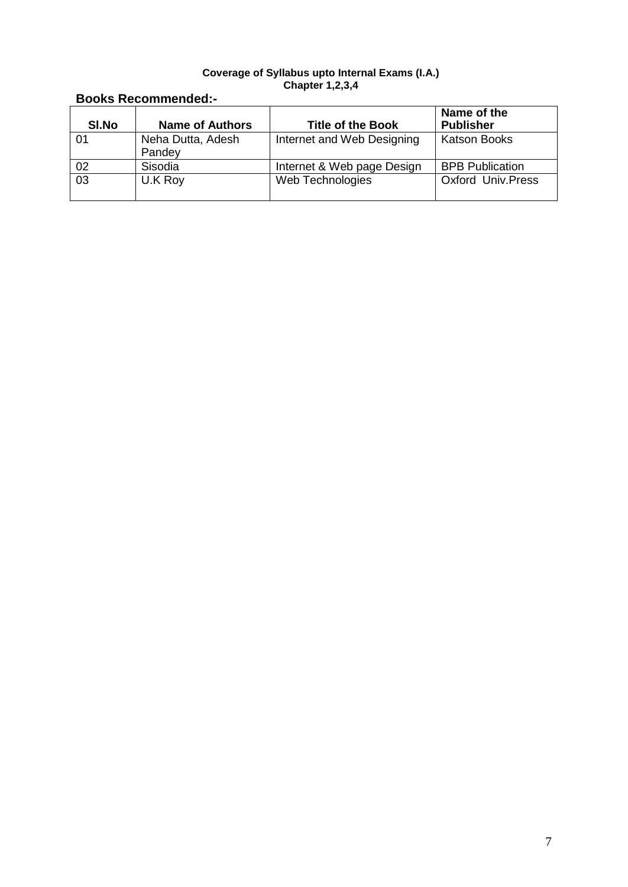#### **Coverage of Syllabus upto Internal Exams (I.A.) Chapter 1,2,3,4**

# **Books Recommended:-**

| SI.No | <b>Name of Authors</b>      | <b>Title of the Book</b>   | Name of the<br><b>Publisher</b> |
|-------|-----------------------------|----------------------------|---------------------------------|
| 01    | Neha Dutta, Adesh<br>Pandey | Internet and Web Designing | <b>Katson Books</b>             |
| 02    | Sisodia                     | Internet & Web page Design | <b>BPB Publication</b>          |
| 03    | U.K Roy                     | Web Technologies           | <b>Oxford Univ. Press</b>       |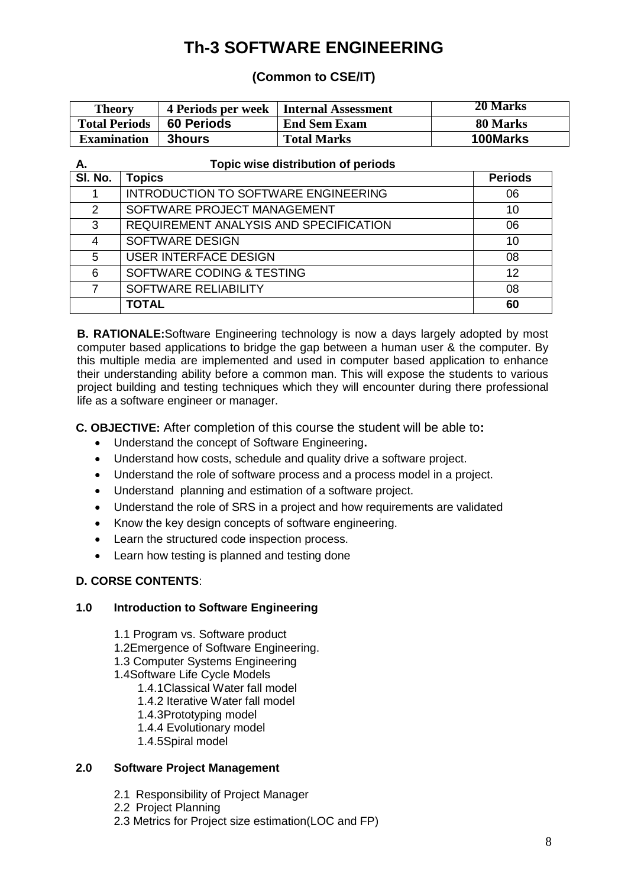# **Th-3 SOFTWARE ENGINEERING**

# **(Common to CSE/IT)**

| <b>Theory</b>        |                   | 4 Periods per week   Internal Assessment | 20 Marks        |
|----------------------|-------------------|------------------------------------------|-----------------|
| <b>Total Periods</b> | <b>60 Periods</b> | <b>End Sem Exam</b>                      | 80 Marks        |
| <b>Examination</b>   | <b>3hours</b>     | <b>Total Marks</b>                       | <b>100Marks</b> |

| Α.            | Topic wise distribution of periods     |                |  |  |  |
|---------------|----------------------------------------|----------------|--|--|--|
| SI. No.       | <b>Topics</b>                          | <b>Periods</b> |  |  |  |
|               | INTRODUCTION TO SOFTWARE ENGINEERING   | 06             |  |  |  |
| $\mathcal{P}$ | SOFTWARE PROJECT MANAGEMENT            | 10             |  |  |  |
| 3             | REQUIREMENT ANALYSIS AND SPECIFICATION | 06             |  |  |  |
| 4             | <b>SOFTWARE DESIGN</b>                 | 10             |  |  |  |
| 5             | <b>USER INTERFACE DESIGN</b>           | 08             |  |  |  |
| 6             | SOFTWARE CODING & TESTING              | 12             |  |  |  |
|               | SOFTWARE RELIABILITY                   | 08             |  |  |  |
|               | <b>TOTAL</b>                           | 60             |  |  |  |

**B. RATIONALE:**Software Engineering technology is now a days largely adopted by most computer based applications to bridge the gap between a human user & the computer. By this multiple media are implemented and used in computer based application to enhance their understanding ability before a common man. This will expose the students to various project building and testing techniques which they will encounter during there professional life as a software engineer or manager.

**C. OBJECTIVE:** After completion of this course the student will be able to**:**

- Understand the concept of Software Engineering**.**
- Understand how costs, schedule and quality drive a software project.
- Understand the role of software process and a process model in a project.
- Understand planning and estimation of a software project.
- Understand the role of SRS in a project and how requirements are validated
- Know the key design concepts of software engineering.
- Learn the structured code inspection process.
- Learn how testing is planned and testing done

# **D. CORSE CONTENTS**:

#### **1.0 Introduction to Software Engineering**

- 1.1 Program vs. Software product
- 1.2Emergence of Software Engineering.
- 1.3 Computer Systems Engineering
- 1.4Software Life Cycle Models
	- 1.4.1Classical Water fall model
	- 1.4.2 Iterative Water fall model
	- 1.4.3Prototyping model
	- 1.4.4 Evolutionary model
	- 1.4.5Spiral model

#### **2.0 Software Project Management**

- 2.1 Responsibility of Project Manager
- 2.2 Project Planning
- 2.3 Metrics for Project size estimation(LOC and FP)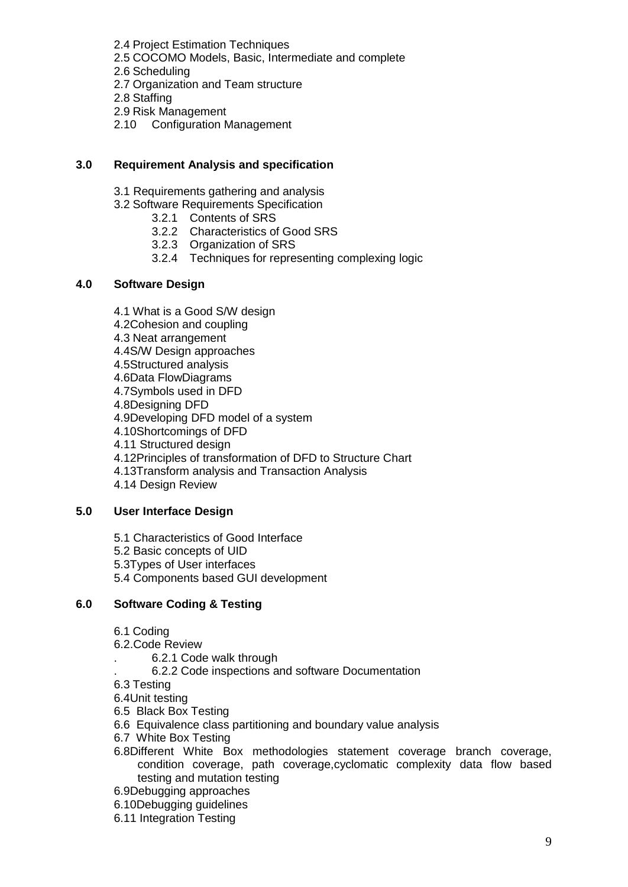- 2.4 Project Estimation Techniques
- 2.5 COCOMO Models, Basic, Intermediate and complete
- 2.6 Scheduling
- 2.7 Organization and Team structure
- 2.8 Staffing
- 2.9 Risk Management
- 2.10 Configuration Management

#### **3.0 Requirement Analysis and specification**

- 3.1 Requirements gathering and analysis
- 3.2 Software Requirements Specification
	- 3.2.1 Contents of SRS
		- 3.2.2 Characteristics of Good SRS
		- 3.2.3 Organization of SRS
	- 3.2.4 Techniques for representing complexing logic

#### **4.0 Software Design**

- 4.1 What is a Good S/W design
- 4.2Cohesion and coupling
- 4.3 Neat arrangement
- 4.4S/W Design approaches
- 4.5Structured analysis
- 4.6Data FlowDiagrams
- 4.7Symbols used in DFD
- 4.8Designing DFD
- 4.9Developing DFD model of a system
- 4.10Shortcomings of DFD
- 4.11 Structured design
- 4.12Principles of transformation of DFD to Structure Chart
- 4.13Transform analysis and Transaction Analysis
- 4.14 Design Review

#### **5.0 User Interface Design**

- 5.1 Characteristics of Good Interface
- 5.2 Basic concepts of UID
- 5.3Types of User interfaces
- 5.4 Components based GUI development

#### **6.0 Software Coding & Testing**

- 6.1 Coding
- 6.2.Code Review
	- . 6.2.1 Code walk through
	- . 6.2.2 Code inspections and software Documentation
- 6.3 Testing
- 6.4Unit testing
- 6.5 Black Box Testing
- 6.6 Equivalence class partitioning and boundary value analysis
- 6.7 White Box Testing
- 6.8Different White Box methodologies statement coverage branch coverage, condition coverage, path coverage,cyclomatic complexity data flow based testing and mutation testing
- 6.9Debugging approaches
- 6.10Debugging guidelines
- 6.11 Integration Testing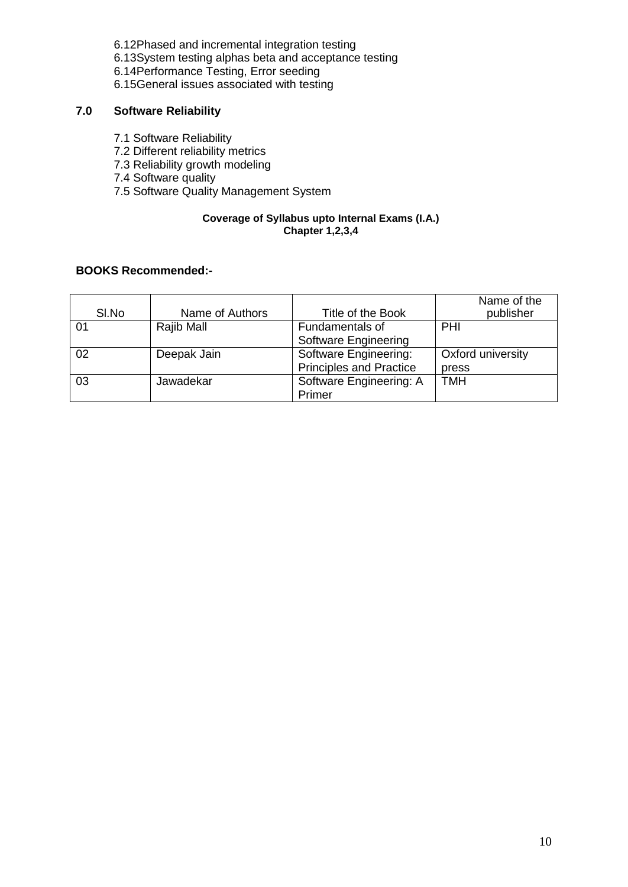- 6.12Phased and incremental integration testing
- 6.13System testing alphas beta and acceptance testing
- 6.14Performance Testing, Error seeding
- 6.15General issues associated with testing

# **7.0 Software Reliability**

- 7.1 Software Reliability
- 7.2 Different reliability metrics
- 7.3 Reliability growth modeling
- 7.4 Software quality
- 7.5 Software Quality Management System

#### **Coverage of Syllabus upto Internal Exams (I.A.) Chapter 1,2,3,4**

#### **BOOKS Recommended:-**

| SI.No | Name of Authors | Title of the Book              | Name of the<br>publisher |
|-------|-----------------|--------------------------------|--------------------------|
| 01    | Rajib Mall      | Fundamentals of                | PHI                      |
|       |                 | Software Engineering           |                          |
| 02    | Deepak Jain     | Software Engineering:          | Oxford university        |
|       |                 | <b>Principles and Practice</b> | press                    |
| 03    | Jawadekar       | Software Engineering: A        | <b>TMH</b>               |
|       |                 | Primer                         |                          |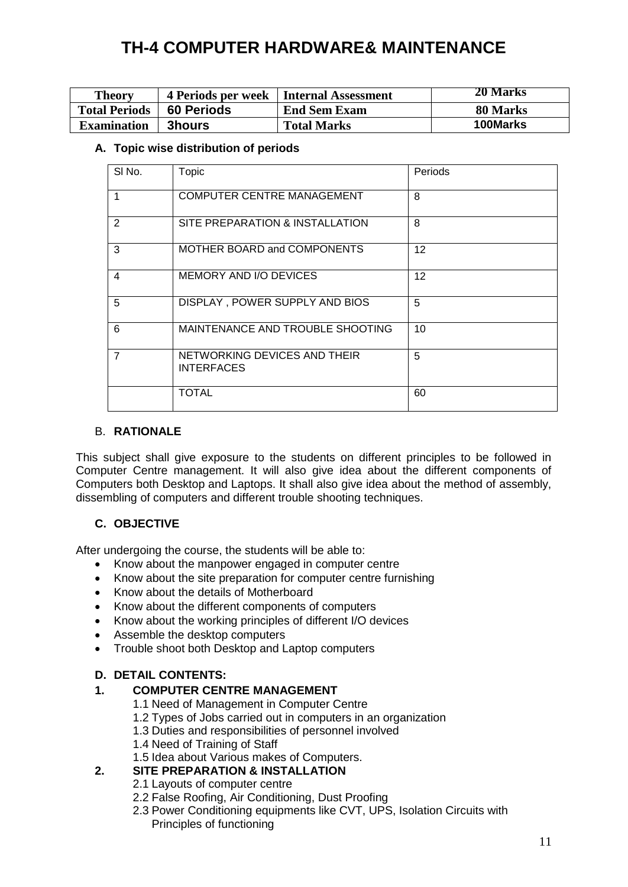# **TH-4 COMPUTER HARDWARE& MAINTENANCE**

| <b>Theory</b>        |                   | 4 Periods per week   Internal Assessment | 20 Marks |
|----------------------|-------------------|------------------------------------------|----------|
| <b>Total Periods</b> | <b>60 Periods</b> | <b>End Sem Exam</b>                      | 80 Marks |
| <b>Examination</b>   | <b>3hours</b>     | <b>Total Marks</b>                       | 100Marks |

#### **A. Topic wise distribution of periods**

| SI No.         | Topic                                             | Periods |
|----------------|---------------------------------------------------|---------|
| 1              | <b>COMPUTER CENTRE MANAGEMENT</b>                 | 8       |
| 2              | SITE PREPARATION & INSTALLATION                   | 8       |
| 3              | MOTHER BOARD and COMPONENTS                       | 12      |
| 4              | MEMORY AND I/O DEVICES                            | 12      |
| 5              | DISPLAY, POWER SUPPLY AND BIOS                    | 5       |
| 6              | MAINTENANCE AND TROUBLE SHOOTING                  | 10      |
| $\overline{7}$ | NETWORKING DEVICES AND THEIR<br><b>INTERFACES</b> | 5       |
|                | <b>TOTAL</b>                                      | 60      |

#### B. **RATIONALE**

This subject shall give exposure to the students on different principles to be followed in Computer Centre management. It will also give idea about the different components of Computers both Desktop and Laptops. It shall also give idea about the method of assembly, dissembling of computers and different trouble shooting techniques.

#### **C. OBJECTIVE**

After undergoing the course, the students will be able to:

- Know about the manpower engaged in computer centre
- Know about the site preparation for computer centre furnishing
- Know about the details of Motherboard
- Know about the different components of computers
- Know about the working principles of different I/O devices
- Assemble the desktop computers
- Trouble shoot both Desktop and Laptop computers

#### **D. DETAIL CONTENTS:**

#### **1. COMPUTER CENTRE MANAGEMENT**

- 1.1 Need of Management in Computer Centre
- 1.2 Types of Jobs carried out in computers in an organization
- 1.3 Duties and responsibilities of personnel involved
	- 1.4 Need of Training of Staff
- 1.5 Idea about Various makes of Computers.

# **2. SITE PREPARATION & INSTALLATION**

- 2.1 Layouts of computer centre
- 2.2 False Roofing, Air Conditioning, Dust Proofing
- 2.3 Power Conditioning equipments like CVT, UPS, Isolation Circuits with Principles of functioning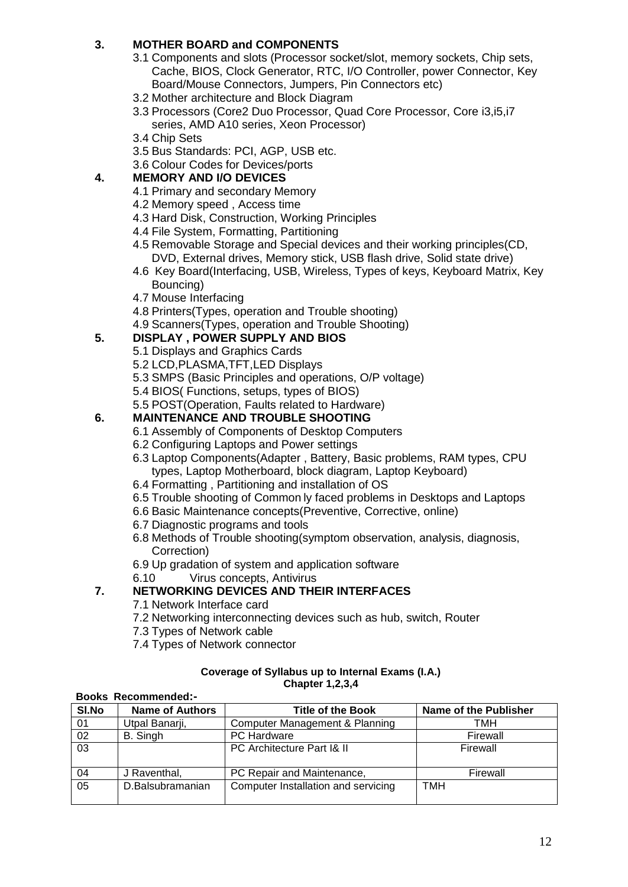# **3. MOTHER BOARD and COMPONENTS**

- 3.1 Components and slots (Processor socket/slot, memory sockets, Chip sets, Cache, BIOS, Clock Generator, RTC, I/O Controller, power Connector, Key Board/Mouse Connectors, Jumpers, Pin Connectors etc)
- 3.2 Mother architecture and Block Diagram
- 3.3 Processors (Core2 Duo Processor, Quad Core Processor, Core i3,i5,i7 series, AMD A10 series, Xeon Processor)
- 3.4 Chip Sets
- 3.5 Bus Standards: PCI, AGP, USB etc.
- 3.6 Colour Codes for Devices/ports

#### **4. MEMORY AND I/O DEVICES**

- 4.1 Primary and secondary Memory
- 4.2 Memory speed , Access time
- 4.3 Hard Disk, Construction, Working Principles
- 4.4 File System, Formatting, Partitioning
- 4.5 Removable Storage and Special devices and their working principles(CD, DVD, External drives, Memory stick, USB flash drive, Solid state drive)
- 4.6 Key Board(Interfacing, USB, Wireless, Types of keys, Keyboard Matrix, Key Bouncing)
- 4.7 Mouse Interfacing
- 4.8 Printers(Types, operation and Trouble shooting)
- 4.9 Scanners(Types, operation and Trouble Shooting)

#### **5. DISPLAY , POWER SUPPLY AND BIOS**

- 5.1 Displays and Graphics Cards
- 5.2 LCD,PLASMA,TFT,LED Displays
- 5.3 SMPS (Basic Principles and operations, O/P voltage)
- 5.4 BIOS( Functions, setups, types of BIOS)
- 5.5 POST(Operation, Faults related to Hardware)

#### **6. MAINTENANCE AND TROUBLE SHOOTING**

- 6.1 Assembly of Components of Desktop Computers
- 6.2 Configuring Laptops and Power settings
- 6.3 Laptop Components(Adapter , Battery, Basic problems, RAM types, CPU types, Laptop Motherboard, block diagram, Laptop Keyboard)
- 6.4 Formatting , Partitioning and installation of OS
- 6.5 Trouble shooting of Common ly faced problems in Desktops and Laptops
- 6.6 Basic Maintenance concepts(Preventive, Corrective, online)
- 6.7 Diagnostic programs and tools
- 6.8 Methods of Trouble shooting(symptom observation, analysis, diagnosis, Correction)
- 6.9 Up gradation of system and application software
- 6.10 Virus concepts, Antivirus

#### **7. NETWORKING DEVICES AND THEIR INTERFACES**

7.1 Network Interface card

**Books Recommended:-**

- 7.2 Networking interconnecting devices such as hub, switch, Router
- 7.3 Types of Network cable
- 7.4 Types of Network connector

#### **Coverage of Syllabus up to Internal Exams (I.A.) Chapter 1,2,3,4**

| SI.No | <b>Name of Authors</b> | <b>Title of the Book</b>            | Name of the Publisher |  |  |  |
|-------|------------------------|-------------------------------------|-----------------------|--|--|--|
| 01    | Utpal Banarji,         | Computer Management & Planning      | тмн                   |  |  |  |
| 02    | B. Singh               | PC Hardware                         | Firewall              |  |  |  |
| 03    |                        | PC Architecture Part 1& II          | Firewall              |  |  |  |
| 04    | J Raventhal,           | PC Repair and Maintenance,          | Firewall              |  |  |  |
| 05    | D.Balsubramanian       | Computer Installation and servicing | TMH                   |  |  |  |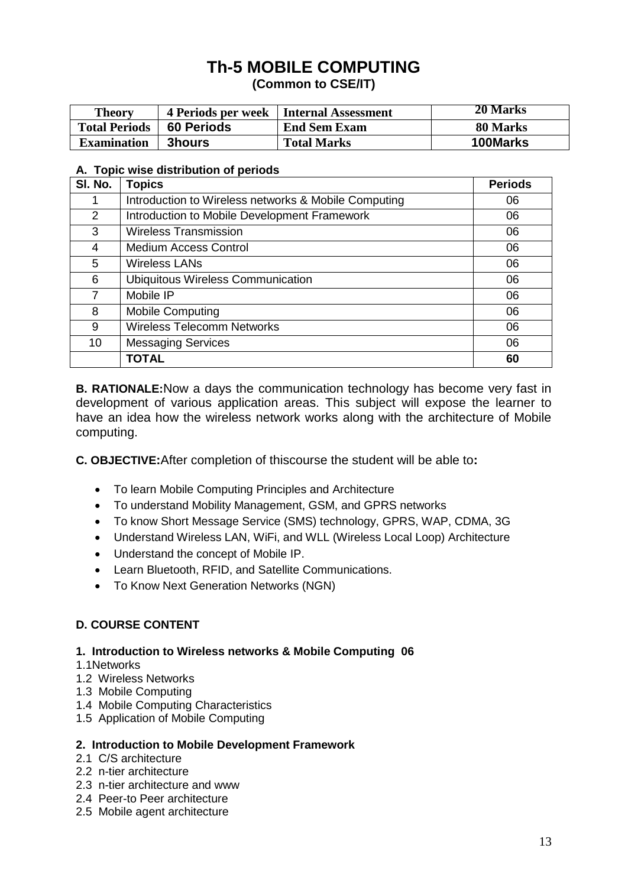# **Th-5 MOBILE COMPUTING**

**(Common to CSE/IT)**

| <b>Theory</b>        | <b>4 Periods per week</b> | Internal Assessment | 20 Marks |
|----------------------|---------------------------|---------------------|----------|
| <b>Total Periods</b> | <b>60 Periods</b>         | <b>End Sem Exam</b> | 80 Marks |
| <b>Examination</b>   | <b>3hours</b>             | <b>Total Marks</b>  | 100Marks |

#### **A. Topic wise distribution of periods**

| SI. No. | <b>Topics</b>                                        | <b>Periods</b> |
|---------|------------------------------------------------------|----------------|
|         | Introduction to Wireless networks & Mobile Computing | 06             |
| 2       | Introduction to Mobile Development Framework         | 06             |
| 3       | <b>Wireless Transmission</b>                         | 06             |
| 4       | <b>Medium Access Control</b>                         | 06             |
| 5       | <b>Wireless LANs</b>                                 | 06             |
| 6       | <b>Ubiquitous Wireless Communication</b>             | 06             |
|         | Mobile IP                                            | 06             |
| 8       | <b>Mobile Computing</b>                              | 06             |
| 9       | <b>Wireless Telecomm Networks</b>                    | 06             |
| 10      | <b>Messaging Services</b>                            | 06             |
|         | <b>TOTAL</b>                                         | 60             |

**B. RATIONALE:**Now a days the communication technology has become very fast in development of various application areas. This subject will expose the learner to have an idea how the wireless network works along with the architecture of Mobile computing.

**C. OBJECTIVE:**After completion of thiscourse the student will be able to**:**

- To learn Mobile Computing Principles and Architecture
- To understand Mobility Management, GSM, and GPRS networks
- To know Short Message Service (SMS) technology, GPRS, WAP, CDMA, 3G
- Understand Wireless LAN, WiFi, and WLL (Wireless Local Loop) Architecture
- Understand the concept of Mobile IP.
- Learn Bluetooth, RFID, and Satellite Communications.
- To Know Next Generation Networks (NGN)

#### **D. COURSE CONTENT**

#### **1. Introduction to Wireless networks & Mobile Computing 06**

- 1.1Networks
- 1.2 Wireless Networks
- 1.3 Mobile Computing
- 1.4 Mobile Computing Characteristics
- 1.5 Application of Mobile Computing

#### **2. Introduction to Mobile Development Framework**

- 2.1 C/S architecture
- 2.2 n-tier architecture
- 2.3 n-tier architecture and www
- 2.4 Peer-to Peer architecture
- 2.5 Mobile agent architecture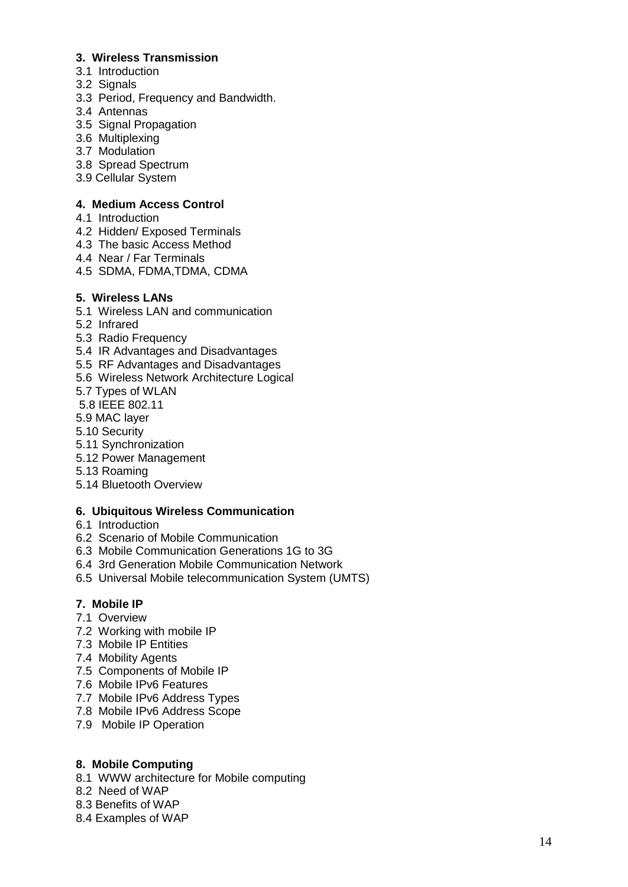#### **3. Wireless Transmission**

- 3.1 Introduction
- 3.2 Signals
- 3.3 Period, Frequency and Bandwidth.
- 3.4 Antennas
- 3.5 Signal Propagation
- 3.6 Multiplexing
- 3.7 Modulation
- 3.8 Spread Spectrum
- 3.9 Cellular System

#### **4. Medium Access Control**

- 4.1 Introduction
- 4.2 Hidden/ Exposed Terminals
- 4.3 The basic Access Method
- 4.4 Near / Far Terminals
- 4.5 SDMA, FDMA,TDMA, CDMA

#### **5. Wireless LANs**

- 5.1 Wireless LAN and communication
- 5.2 Infrared
- 5.3 Radio Frequency
- 5.4 IR Advantages and Disadvantages
- 5.5 RF Advantages and Disadvantages
- 5.6 Wireless Network Architecture Logical
- 5.7 Types of WLAN
- 5.8 IEEE 802.11
- 5.9 MAC layer
- 5.10 Security
- 5.11 Synchronization
- 5.12 Power Management
- 5.13 Roaming
- 5.14 Bluetooth Overview

#### **6. Ubiquitous Wireless Communication**

- 6.1 Introduction
- 6.2 Scenario of Mobile Communication
- 6.3 Mobile Communication Generations 1G to 3G
- 6.4 3rd Generation Mobile Communication Network
- 6.5 Universal Mobile telecommunication System (UMTS)

#### **7. Mobile IP**

- 7.1 Overview
- 7.2 Working with mobile IP
- 7.3 Mobile IP Entities
- 7.4 Mobility Agents
- 7.5 Components of Mobile IP
- 7.6 Mobile IPv6 Features
- 7.7 Mobile IPv6 Address Types
- 7.8 Mobile IPv6 Address Scope
- 7.9 Mobile IP Operation

#### **8. Mobile Computing**

- 8.1 WWW architecture for Mobile computing
- 8.2 Need of WAP
- 8.3 Benefits of WAP
- 8.4 Examples of WAP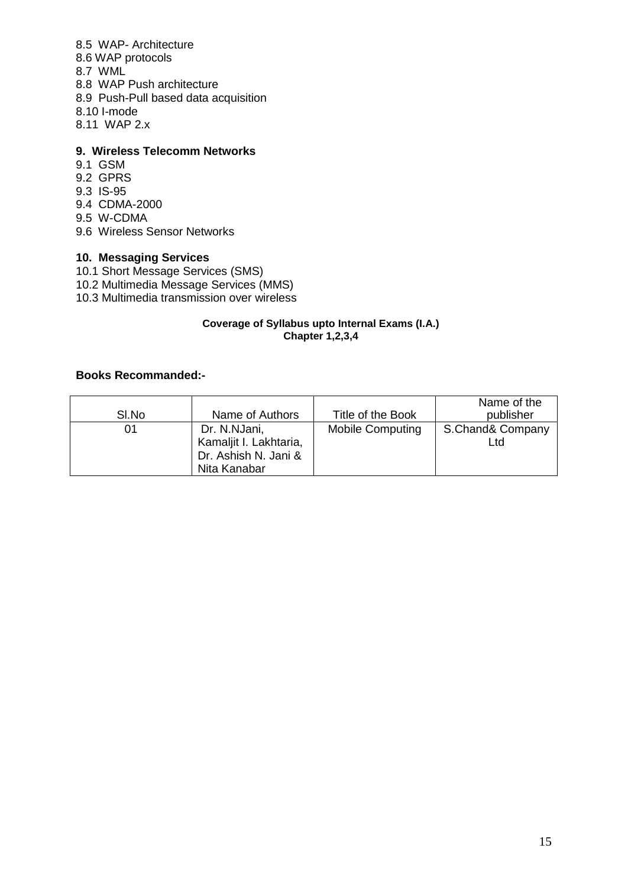#### 8.5 WAP- Architecture

- 8.6 WAP protocols
- 8.7 WML
- 8.8 WAP Push architecture
- 8.9 Push-Pull based data acquisition
- 8.10 I-mode
- 8.11 WAP 2.x

## **9. Wireless Telecomm Networks**

- 9.1 GSM
- 9.2 GPRS
- 9.3 IS-95
- 9.4 CDMA-2000
- 9.5 W-CDMA
- 9.6 Wireless Sensor Networks

#### **10. Messaging Services**

- 10.1 Short Message Services (SMS)
- 10.2 Multimedia Message Services (MMS)
- 10.3 Multimedia transmission over wireless

#### **Coverage of Syllabus upto Internal Exams (I.A.) Chapter 1,2,3,4**

#### **Books Recommanded:-**

|       |                                                                                |                         | Name of the             |
|-------|--------------------------------------------------------------------------------|-------------------------|-------------------------|
| SI.No | Name of Authors                                                                | Title of the Book       | publisher               |
| 01    | Dr. N.NJani,<br>Kamaljit I. Lakhtaria,<br>Dr. Ashish N. Jani &<br>Nita Kanabar | <b>Mobile Computing</b> | S.Chand& Company<br>∟td |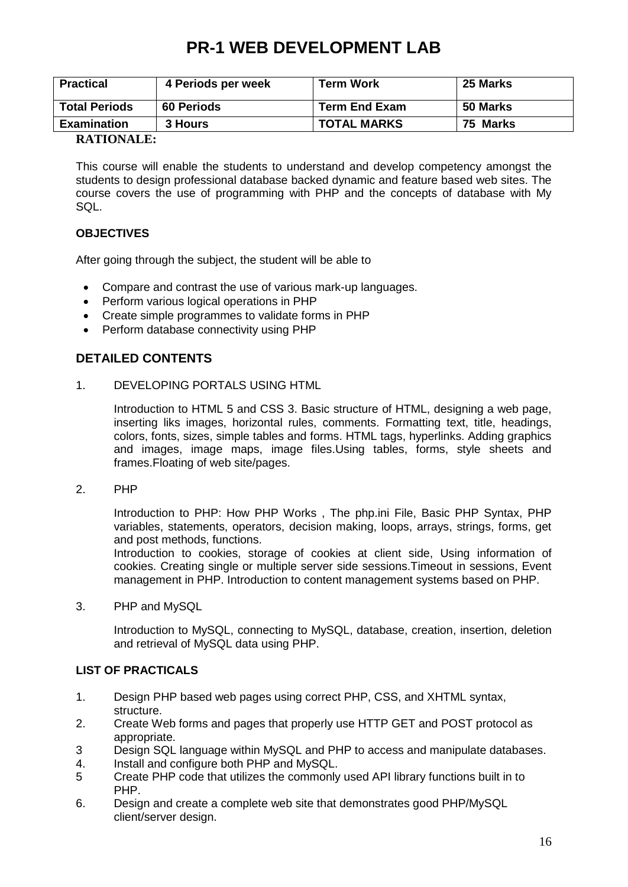# **PR-1 WEB DEVELOPMENT LAB**

| <b>Practical</b>     | 4 Periods per week | <b>Term Work</b>     | <b>25 Marks</b> |
|----------------------|--------------------|----------------------|-----------------|
| <b>Total Periods</b> | <b>60 Periods</b>  | <b>Term End Exam</b> | 50 Marks        |
| <b>Examination</b>   | 3 Hours            | <b>TOTAL MARKS</b>   | 75 Marks        |
| <b>DIMENSION</b>     |                    |                      |                 |

#### **RATIONALE:**

This course will enable the students to understand and develop competency amongst the students to design professional database backed dynamic and feature based web sites. The course covers the use of programming with PHP and the concepts of database with My SQL.

#### **OBJECTIVES**

After going through the subject, the student will be able to

- Compare and contrast the use of various mark-up languages.
- Perform various logical operations in PHP
- Create simple programmes to validate forms in PHP
- Perform database connectivity using PHP

# **DETAILED CONTENTS**

1. DEVELOPING PORTALS USING HTML

Introduction to HTML 5 and CSS 3. Basic structure of HTML, designing a web page, inserting liks images, horizontal rules, comments. Formatting text, title, headings, colors, fonts, sizes, simple tables and forms. HTML tags, hyperlinks. Adding graphics and images, image maps, image files.Using tables, forms, style sheets and frames.Floating of web site/pages.

2. PHP

Introduction to PHP: How PHP Works , The php.ini File, Basic PHP Syntax, PHP variables, statements, operators, decision making, loops, arrays, strings, forms, get and post methods, functions.

Introduction to cookies, storage of cookies at client side, Using information of cookies. Creating single or multiple server side sessions.Timeout in sessions, Event management in PHP. Introduction to content management systems based on PHP.

3. PHP and MySQL

Introduction to MySQL, connecting to MySQL, database, creation, insertion, deletion and retrieval of MySQL data using PHP.

#### **LIST OF PRACTICALS**

- 1. Design PHP based web pages using correct PHP, CSS, and XHTML syntax, structure.
- 2. Create Web forms and pages that properly use HTTP GET and POST protocol as appropriate.
- 3 Design SQL language within MySQL and PHP to access and manipulate databases.
- 4. Install and configure both PHP and MySQL.
- 5 Create PHP code that utilizes the commonly used API library functions built in to PHP.
- 6. Design and create a complete web site that demonstrates good PHP/MySQL client/server design.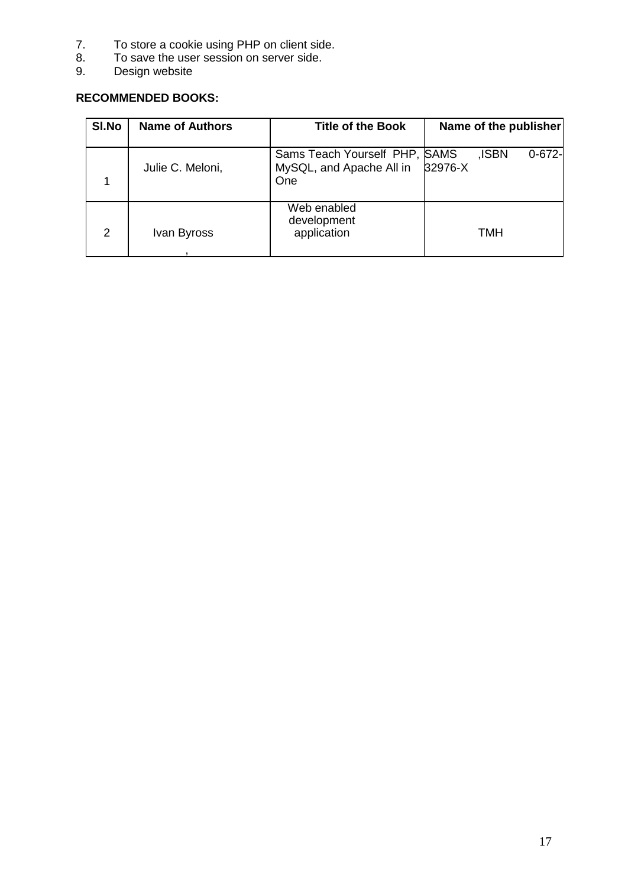- 7. To store a cookie using PHP on client side.
- 8. To save the user session on server side.
- 9. Design website

# **RECOMMENDED BOOKS:**

| SI.No          | <b>Name of Authors</b> | <b>Title of the Book</b>                                         | Name of the publisher           |
|----------------|------------------------|------------------------------------------------------------------|---------------------------------|
|                | Julie C. Meloni,       | Sams Teach Yourself PHP, SAMS<br>MySQL, and Apache All in<br>One | ,ISBN<br>$0 - 672 -$<br>32976-X |
| $\overline{2}$ | Ivan Byross            | Web enabled<br>development<br>application                        | TMH                             |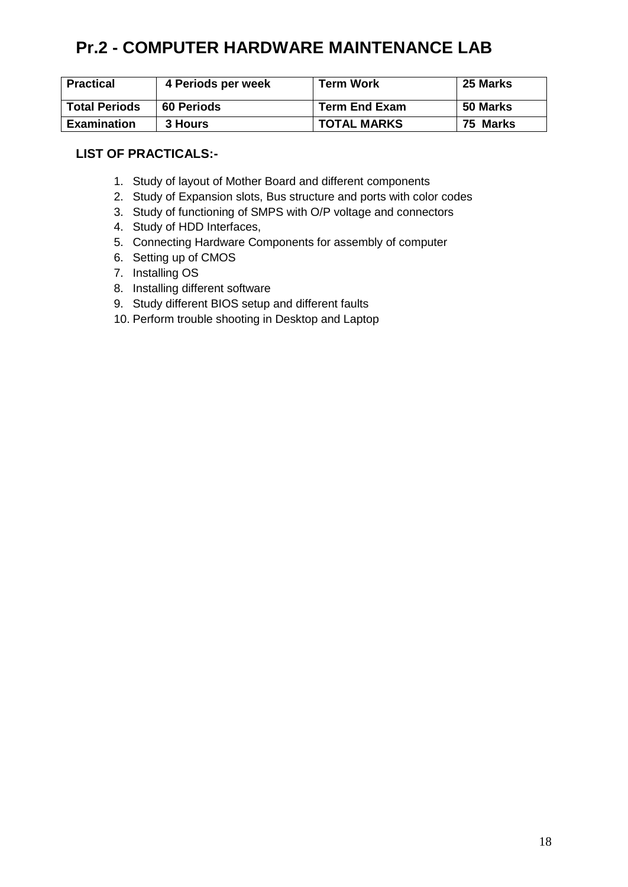# **Pr.2 - COMPUTER HARDWARE MAINTENANCE LAB**

| <b>Practical</b>     | 4 Periods per week | <b>Term Work</b>     | 25 Marks |
|----------------------|--------------------|----------------------|----------|
| <b>Total Periods</b> | <b>60 Periods</b>  | <b>Term End Exam</b> | 50 Marks |
| <b>Examination</b>   | 3 Hours            | <b>TOTAL MARKS</b>   | 75 Marks |

# **LIST OF PRACTICALS:-**

- 1. Study of layout of Mother Board and different components
- 2. Study of Expansion slots, Bus structure and ports with color codes
- 3. Study of functioning of SMPS with O/P voltage and connectors
- 4. Study of HDD Interfaces,
- 5. Connecting Hardware Components for assembly of computer
- 6. Setting up of CMOS
- 7. Installing OS
- 8. Installing different software
- 9. Study different BIOS setup and different faults
- 10. Perform trouble shooting in Desktop and Laptop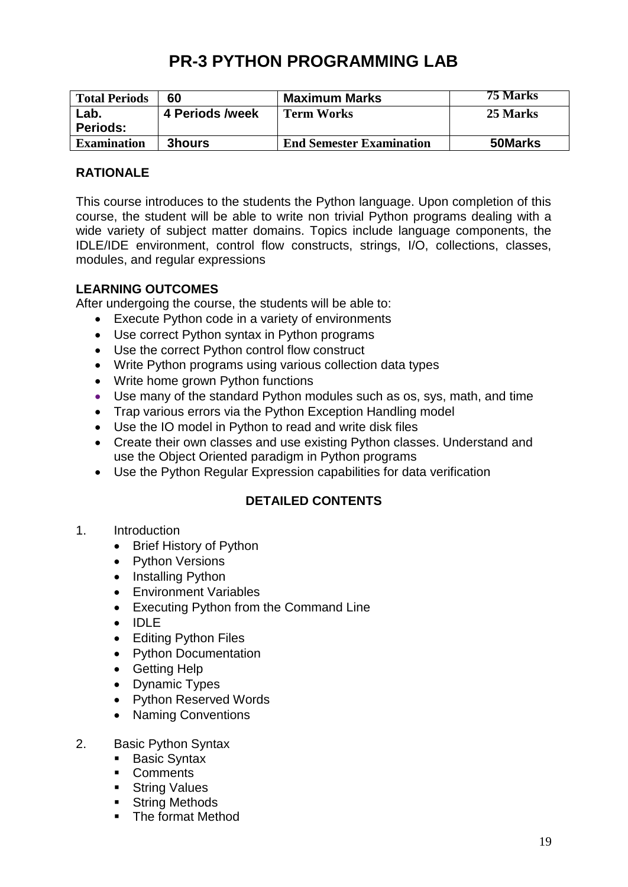# **PR-3 PYTHON PROGRAMMING LAB**

| <b>Total Periods</b> | 60              | <b>Maximum Marks</b>            | 75 Marks |
|----------------------|-----------------|---------------------------------|----------|
| Lab.                 | 4 Periods /week | <b>Term Works</b>               | 25 Marks |
| <b>Periods:</b>      |                 |                                 |          |
| <b>Examination</b>   | 3hours          | <b>End Semester Examination</b> | 50Marks  |

# **RATIONALE**

This course introduces to the students the Python language. Upon completion of this course, the student will be able to write non trivial Python programs dealing with a wide variety of subject matter domains. Topics include language components, the IDLE/IDE environment, control flow constructs, strings, I/O, collections, classes, modules, and regular expressions

### **LEARNING OUTCOMES**

After undergoing the course, the students will be able to:

- Execute Python code in a variety of environments
- Use correct Python syntax in Python programs
- Use the correct Python control flow construct
- Write Python programs using various collection data types
- Write home grown Python functions
- Use many of the standard Python modules such as os, sys, math, and time
- Trap various errors via the Python Exception Handling model
- Use the IO model in Python to read and write disk files
- Create their own classes and use existing Python classes. Understand and use the Object Oriented paradigm in Python programs
- Use the Python Regular Expression capabilities for data verification

# **DETAILED CONTENTS**

- 1. Introduction
	- Brief History of Python
	- Python Versions
	- Installing Python
	- Environment Variables
	- Executing Python from the Command Line
	- IDLE
	- Editing Python Files
	- Python Documentation
	- Getting Help
	- Dynamic Types
	- Python Reserved Words
	- Naming Conventions
- 2. Basic Python Syntax
	- **Basic Syntax**
	- **Comments**
	- **String Values**
	- **String Methods**
	- The format Method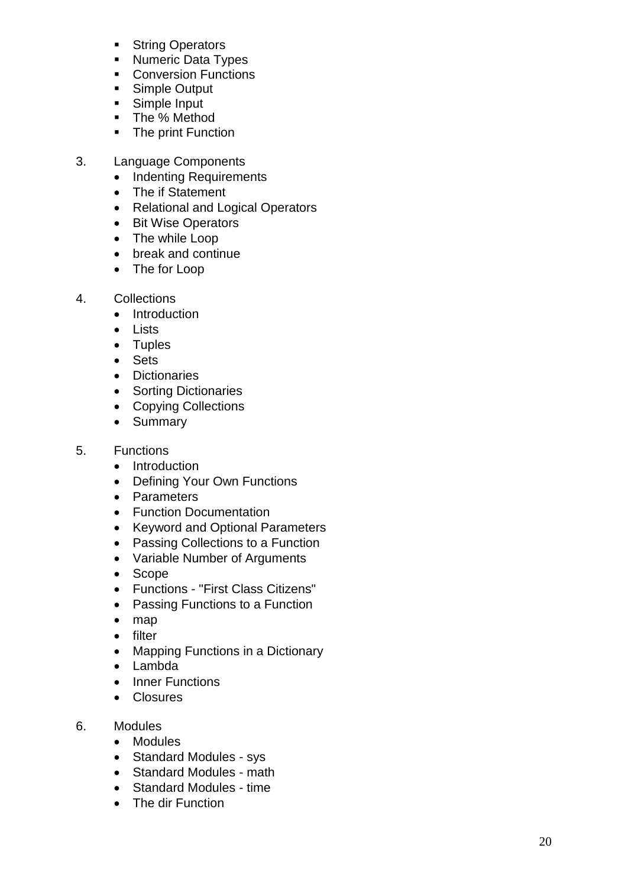- **String Operators**
- **Numeric Data Types**
- **Conversion Functions**
- **Simple Output**
- **Simple Input**
- The % Method
- The print Function
- 3. Language Components
	- Indenting Requirements
	- The if Statement
	- Relational and Logical Operators
	- Bit Wise Operators
	- The while Loop
	- break and continue
	- The for Loop
- 4. Collections
	- Introduction
	- Lists
	- Tuples
	- Sets
	- Dictionaries
	- Sorting Dictionaries
	- Copying Collections
	- Summary
- 5. Functions
	- Introduction
	- Defining Your Own Functions
	- Parameters
	- Function Documentation
	- Keyword and Optional Parameters
	- Passing Collections to a Function
	- Variable Number of Arguments
	- Scope
	- Functions "First Class Citizens"
	- Passing Functions to a Function
	- map
	- filter
	- Mapping Functions in a Dictionary
	- Lambda
	- Inner Functions
	- Closures
- 6. Modules
	- Modules
	- Standard Modules sys
	- Standard Modules math
	- Standard Modules time
	- The dir Function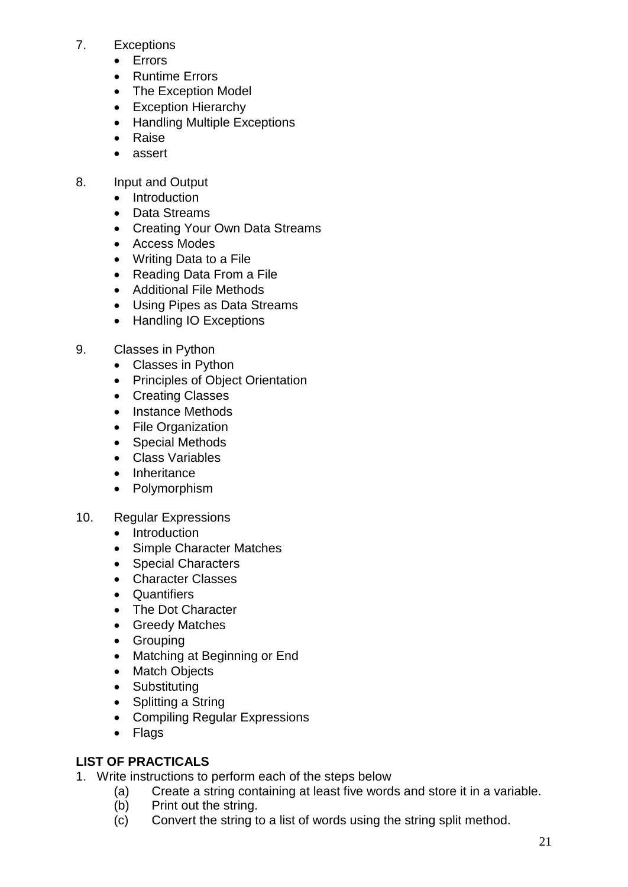### 7. Exceptions

- Errors
- Runtime Errors
- The Exception Model
- Exception Hierarchy
- Handling Multiple Exceptions
- Raise
- assert
- 8. Input and Output
	- Introduction
	- Data Streams
	- Creating Your Own Data Streams
	- Access Modes
	- Writing Data to a File
	- Reading Data From a File
	- Additional File Methods
	- Using Pipes as Data Streams
	- Handling IO Exceptions
- 9. Classes in Python
	- Classes in Python
	- Principles of Object Orientation
	- Creating Classes
	- Instance Methods
	- File Organization
	- Special Methods
	- Class Variables
	- Inheritance
	- Polymorphism
- 10. Regular Expressions
	- Introduction
	- Simple Character Matches
	- Special Characters
	- Character Classes
	- Quantifiers
	- The Dot Character
	- Greedy Matches
	- Grouping
	- Matching at Beginning or End
	- Match Objects
	- Substituting
	- Splitting a String
	- Compiling Regular Expressions
	- Flags

# **LIST OF PRACTICALS**

- 1. Write instructions to perform each of the steps below
	- (a) Create a string containing at least five words and store it in a variable.
	- (b) Print out the string.
	- (c) Convert the string to a list of words using the string split method.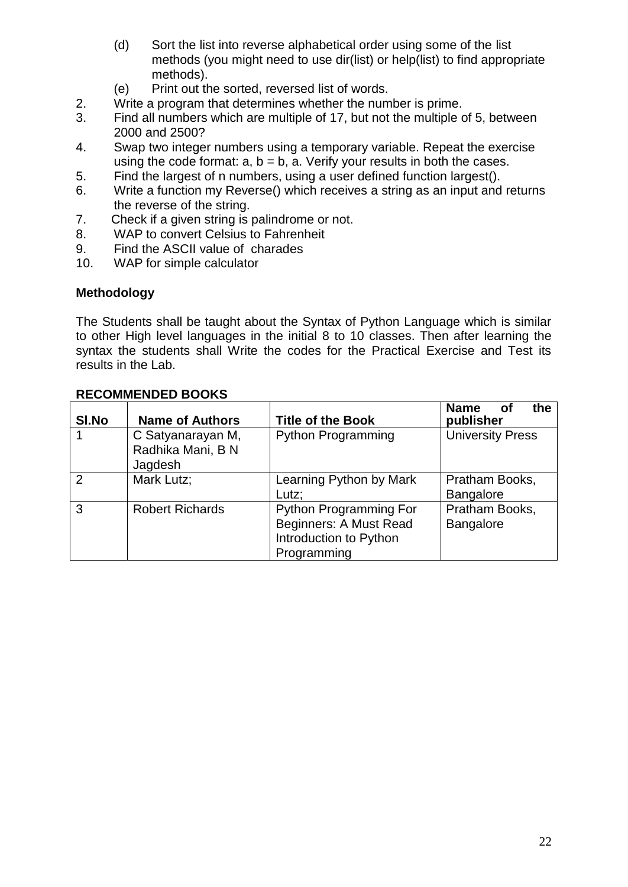- (d) Sort the list into reverse alphabetical order using some of the list methods (you might need to use dir(list) or help(list) to find appropriate methods).
- (e) Print out the sorted, reversed list of words.
- 2. Write a program that determines whether the number is prime.
- 3. Find all numbers which are multiple of 17, but not the multiple of 5, between 2000 and 2500?
- 4. Swap two integer numbers using a temporary variable. Repeat the exercise using the code format:  $a, b = b$ ,  $a$ . Verify your results in both the cases.
- 5. Find the largest of n numbers, using a user defined function largest().
- 6. Write a function my Reverse() which receives a string as an input and returns the reverse of the string.
- 7. Check if a given string is palindrome or not.
- 8. WAP to convert Celsius to Fahrenheit
- 9. Find the ASCII value of charades
- 10. WAP for simple calculator

### **Methodology**

The Students shall be taught about the Syntax of Python Language which is similar to other High level languages in the initial 8 to 10 classes. Then after learning the syntax the students shall Write the codes for the Practical Exercise and Test its results in the Lab.

| <b>RECOMMENDED BOOKS</b> |                                                   |                                                                                           |                                        |
|--------------------------|---------------------------------------------------|-------------------------------------------------------------------------------------------|----------------------------------------|
| SI.No                    | <b>Name of Authors</b>                            | <b>Title of the Book</b>                                                                  | <b>Name</b><br>tl<br>- ot<br>publisher |
| 1                        | C Satyanarayan M,<br>Radhika Mani, B N<br>Jagdesh | <b>Python Programming</b>                                                                 | <b>University Press</b>                |
| $\overline{2}$           | Mark Lutz;                                        | Learning Python by Mark<br>Lutz:                                                          | Pratham Books,<br><b>Bangalore</b>     |
| 3                        | <b>Robert Richards</b>                            | Python Programming For<br>Beginners: A Must Read<br>Introduction to Python<br>Programming | Pratham Books,<br><b>Bangalore</b>     |

### **RECOMMENDED BOOKS**

**the**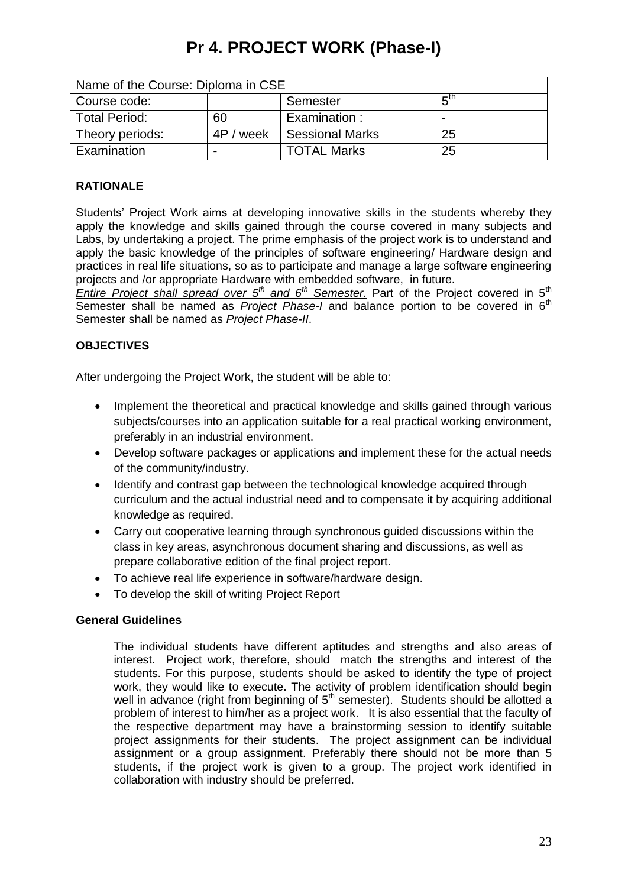# **Pr 4. PROJECT WORK (Phase-I)**

| Name of the Course: Diploma in CSE |           |                        |                          |
|------------------------------------|-----------|------------------------|--------------------------|
| Course code:                       |           | Semester               | π™                       |
| <b>Total Period:</b>               | 60        | Examination:           | $\overline{\phantom{0}}$ |
| Theory periods:                    | 4P / week | <b>Sessional Marks</b> | 25                       |
| Examination                        |           | <b>TOTAL Marks</b>     | 25                       |

# **RATIONALE**

Students' Project Work aims at developing innovative skills in the students whereby they apply the knowledge and skills gained through the course covered in many subjects and Labs, by undertaking a project. The prime emphasis of the project work is to understand and apply the basic knowledge of the principles of software engineering/ Hardware design and practices in real life situations, so as to participate and manage a large software engineering projects and /or appropriate Hardware with embedded software, in future.

*Entire Project shall spread over 5th and 6th Semester.* Part of the Project covered in 5th Semester shall be named as *Project Phase-I* and balance portion to be covered in 6<sup>th</sup> Semester shall be named as *Project Phase-II*.

#### **OBJECTIVES**

After undergoing the Project Work, the student will be able to:

- Implement the theoretical and practical knowledge and skills gained through various subjects/courses into an application suitable for a real practical working environment, preferably in an industrial environment.
- Develop software packages or applications and implement these for the actual needs of the community/industry.
- Identify and contrast gap between the technological knowledge acquired through curriculum and the actual industrial need and to compensate it by acquiring additional knowledge as required.
- Carry out cooperative learning through synchronous guided discussions within the class in key areas, asynchronous document sharing and discussions, as well as prepare collaborative edition of the final project report.
- To achieve real life experience in software/hardware design.
- To develop the skill of writing Project Report

#### **General Guidelines**

The individual students have different aptitudes and strengths and also areas of interest. Project work, therefore, should match the strengths and interest of the students. For this purpose, students should be asked to identify the type of project work, they would like to execute. The activity of problem identification should begin well in advance (right from beginning of  $5<sup>th</sup>$  semester). Students should be allotted a problem of interest to him/her as a project work. It is also essential that the faculty of the respective department may have a brainstorming session to identify suitable project assignments for their students. The project assignment can be individual assignment or a group assignment. Preferably there should not be more than 5 students, if the project work is given to a group. The project work identified in collaboration with industry should be preferred.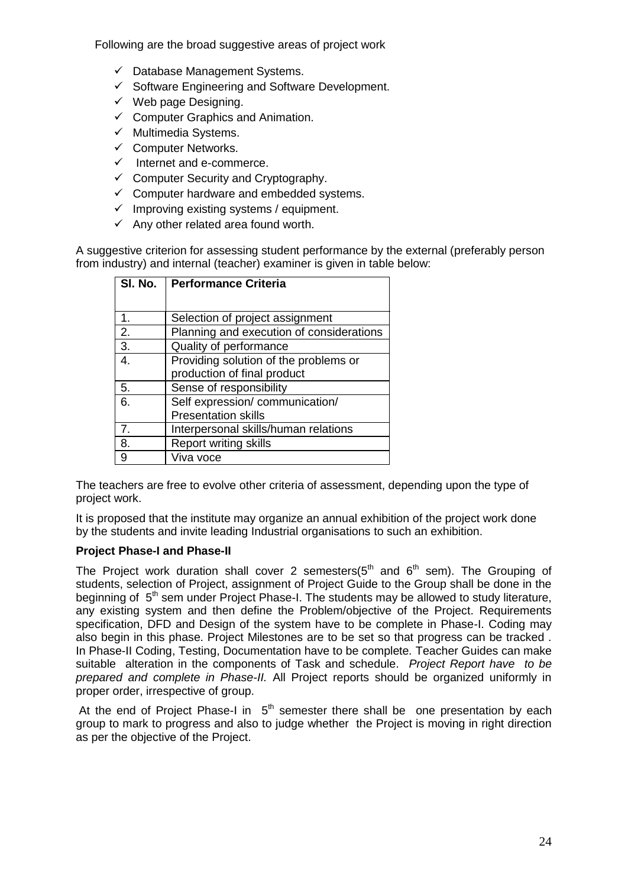Following are the broad suggestive areas of project work

- $\checkmark$  Database Management Systems.
- $\checkmark$  Software Engineering and Software Development.
- $\checkmark$  Web page Designing.
- $\checkmark$  Computer Graphics and Animation.
- $\checkmark$  Multimedia Systems.
- $\checkmark$  Computer Networks.
- $\checkmark$  Internet and e-commerce.
- $\checkmark$  Computer Security and Cryptography.
- $\checkmark$  Computer hardware and embedded systems.
- $\checkmark$  Improving existing systems / equipment.
- $\checkmark$  Any other related area found worth.

A suggestive criterion for assessing student performance by the external (preferably person from industry) and internal (teacher) examiner is given in table below:

| SI. No. | <b>Performance Criteria</b>              |
|---------|------------------------------------------|
|         |                                          |
| 1.      | Selection of project assignment          |
| 2.      | Planning and execution of considerations |
| 3.      | Quality of performance                   |
| 4.      | Providing solution of the problems or    |
|         | production of final product              |
| 5.      | Sense of responsibility                  |
| 6.      | Self expression/communication/           |
|         | <b>Presentation skills</b>               |
| 7.      | Interpersonal skills/human relations     |
| 8.      | <b>Report writing skills</b>             |
| 9       | Viva voce                                |

The teachers are free to evolve other criteria of assessment, depending upon the type of project work.

It is proposed that the institute may organize an annual exhibition of the project work done by the students and invite leading Industrial organisations to such an exhibition.

#### **Project Phase-I and Phase-II**

The Project work duration shall cover 2 semesters( $5<sup>th</sup>$  and  $6<sup>th</sup>$  sem). The Grouping of students, selection of Project, assignment of Project Guide to the Group shall be done in the beginning of 5<sup>th</sup> sem under Project Phase-I. The students may be allowed to study literature, any existing system and then define the Problem/objective of the Project. Requirements specification, DFD and Design of the system have to be complete in Phase-I. Coding may also begin in this phase. Project Milestones are to be set so that progress can be tracked . In Phase-II Coding, Testing, Documentation have to be complete*.* Teacher Guides can make suitable alteration in the components of Task and schedule. *Project Report have to be prepared and complete in Phase-II.* All Project reports should be organized uniformly in proper order, irrespective of group.

At the end of Project Phase-I in  $5<sup>th</sup>$  semester there shall be one presentation by each group to mark to progress and also to judge whether the Project is moving in right direction as per the objective of the Project.